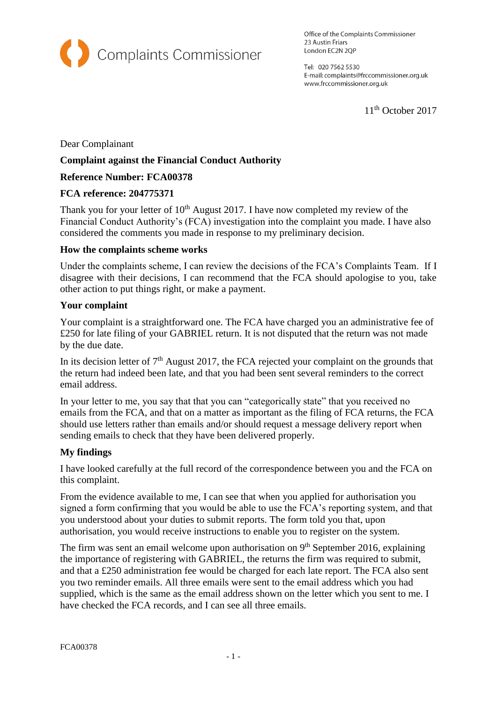

Office of the Complaints Commissioner 23 Austin Friars London EC2N 2QP

Tel: 020 7562 5530 E-mail: complaints@frccommissioner.org.uk www.frccommissioner.org.uk

11<sup>th</sup> October 2017

Dear Complainant

## **Complaint against the Financial Conduct Authority**

# **Reference Number: FCA00378**

### **FCA reference: 204775371**

Thank you for your letter of  $10<sup>th</sup>$  August 2017. I have now completed my review of the Financial Conduct Authority's (FCA) investigation into the complaint you made. I have also considered the comments you made in response to my preliminary decision.

### **How the complaints scheme works**

Under the complaints scheme, I can review the decisions of the FCA's Complaints Team. If I disagree with their decisions, I can recommend that the FCA should apologise to you, take other action to put things right, or make a payment.

#### **Your complaint**

Your complaint is a straightforward one. The FCA have charged you an administrative fee of £250 for late filing of your GABRIEL return. It is not disputed that the return was not made by the due date.

In its decision letter of  $7<sup>th</sup>$  August 2017, the FCA rejected your complaint on the grounds that the return had indeed been late, and that you had been sent several reminders to the correct email address.

In your letter to me, you say that that you can "categorically state" that you received no emails from the FCA, and that on a matter as important as the filing of FCA returns, the FCA should use letters rather than emails and/or should request a message delivery report when sending emails to check that they have been delivered properly.

### **My findings**

I have looked carefully at the full record of the correspondence between you and the FCA on this complaint.

From the evidence available to me, I can see that when you applied for authorisation you signed a form confirming that you would be able to use the FCA's reporting system, and that you understood about your duties to submit reports. The form told you that, upon authorisation, you would receive instructions to enable you to register on the system.

The firm was sent an email welcome upon authorisation on 9<sup>th</sup> September 2016, explaining the importance of registering with GABRIEL, the returns the firm was required to submit, and that a £250 administration fee would be charged for each late report. The FCA also sent you two reminder emails. All three emails were sent to the email address which you had supplied, which is the same as the email address shown on the letter which you sent to me. I have checked the FCA records, and I can see all three emails.